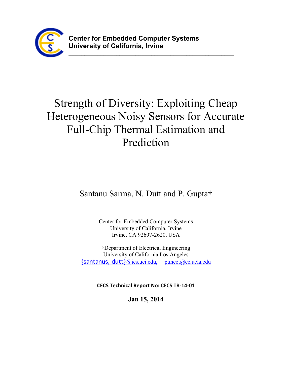

**\_\_\_\_\_\_\_\_\_\_\_\_\_\_\_\_\_\_\_\_\_\_\_\_\_\_\_\_\_\_\_\_\_\_\_\_\_\_\_\_\_\_\_\_\_\_\_\_\_\_\_\_**

# Strength of Diversity: Exploiting Cheap Heterogeneous Noisy Sensors for Accurate Full-Chip Thermal Estimation and Prediction

Santanu Sarma, N. Dutt and P. Gupta†

Center for Embedded Computer Systems University of California, Irvine Irvine, CA 92697-2620, USA

†Department of Electrical Engineering University of California Los Angeles {santanus, dutt}@ics.uci.edu, †puneet@ee.ucla.edu

**CECS Technical Report No: CECS TR-14-01**

**Jan 15, 2014**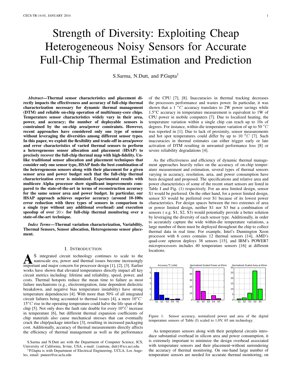## Strength of Diversity: Exploiting Cheap Heterogeneous Noisy Sensors for Accurate Full-Chip Thermal Estimation and Prediction

S.Sarma, N.Dutt, and P.Gupta†

*Abstract*—Thermal sensor characteristics and placement directly impacts the effectiveness and accuracy of full-chip thermal characterization necessary for dynamic thermal management (DTM) and reliable on-chip operation of multi/many-core chips. Temperature sensor characteristics widely vary in their area, power, and accuracy; the number of deployable sensors is constrained by the on-chip area/power constraints. However, recent approaches have considered only one type of sensor without leveraging the diversities among different sensor types. In this paper, we exploit the flexibility and trade-off in area/power and error characteristics of varied thermal sensors to perform a heterogeneous sensor allocation and placement (HSAP) to precisely recover the full-chip thermal map with high-fidelity. Unlike traditional sensor allocation and placement techniques that consider only one sensor type, HSAP finds the best combination of the heterogeneous sensors along with their placement for a given sensor area and power budget such that the full-chip thermal characterization error is minimized. Experimental results with multicore Alpha processor show significant improvements compared to the state-of-the-art in terms of reconstruction accuracy for the same sensor area and power budget. In particular, our HSAP approach achieves superior accuracy (around 10-100x error reduction with three types of sensors in comparison to a single type without any additional overhead) and execution speedup of over  $20\times$  for full-chip thermal monitoring over a state-of-the-art technique.

*Index Terms*—Thermal variation characterization, Variability, Thermal Sensors, Sensor allocation, Heterogeneous sensor placement.

## I. INTRODUCTION

A S integrated circuit technology continues to scale to the nanoscale era, power and thermal issues become increasingly important and major concern for processor design [\[1\]](#page-6-0), [\[2\]](#page-6-1), [\[3\]](#page-6-2). Earlier S integrated circuit technology continues to scale to the nanoscale era, power and thermal issues become increasingly works have shown that elevated temperatures directly impact all key circuit metrics including: lifetime and reliability, speed, power, and costs. Thermal hotspots reduce the mean time to failure as most failure mechanisms (e.g., electromigration, time dependent dielectric breakdown, and negative bias temperature instability) have strong temperature dependencies [\[4\]](#page-6-3). With more than 50% of all integrated circuit failures being accounted to thermal issues [\[4\]](#page-6-3), a mere  $10^{\circ}$ C  $15^{\circ}$ C rise in the operating temperature could halve the life span of the chip [\[5\]](#page-6-4). Not only does the fault rate double for every  $10^{\circ}$ C increase in temperature [\[6\]](#page-6-5), but different thermal expansion coefficients of chip materials also cause mechanical stresses that can eventually crack the chip/package interface [\[3\]](#page-6-2), resulting in increased packaging cost. Additionally, accuracy of thermal measurements directly affects the efficiency of thermal management as well as the performance

of the CPU [\[7\]](#page-6-6), [\[8\]](#page-6-7). Inaccuracies in thermal tracking decreases the processors performance and wastes power. In particular, it was shown that a  $1 \degree C$  accuracy translates to 2W power savings while  $1.5\degree$ C accuracy in temperature measurement is equivalent to 1W of CPU power in mobile computers [\[7\]](#page-6-6). Due to localized heating, the temperature variation within a single chip can reach up to 10s of degrees. For instance, within-die temperature variation of up to 50  $^{\circ}C$ was reported in [\[1\]](#page-6-0). Due to lack of proximity, sensor measurements and hot spot temperatures could differ by up to 10  $^{0}C$  [\[7\]](#page-6-6). Such inaccuracies in thermal estimates can either trigger early or late activation of DTM resulting in unwanted performance loss [\[8\]](#page-6-7) or severe reliability degradations [\[4\]](#page-6-3).

As the effectiveness and efficiency of dynamic thermal management approaches heavily relies on the accuracy of on-chip temperature measurement and estimation, several types of thermal sensors varying in accuracy, resolution, area, and power consumption have been designed and proposed. The specifications and relative area and power characteristics of some of the recent smart sensors are listed in Table [I](#page-2-0) and Fig. [\(1\)](#page-1-0) respectively. For an area limited design, sensor S1 would be preferred. On the other hand, for a power limited design, sensor S3 would be preferred over S1 because of its lowest power characteristics. For design spaces between the two extremes of area or power limited design, neither S1 nor S3 but a combination of sensors ( e.g. S1, S2, S3) would potentially provide a better solution by leveraging the diversity of each sensor type. Additionally, in order to accurately capture the wide within-die temperature variations, a large number of them must be deployed throughout the chip to collect thermal data in real time. For example, Intel's Dunnington Xeon processor with 6 cores contains 12 thermal sensors [\[14\]](#page-6-8), AMD's quad-core opteron deploys 38 sensors [\[15\]](#page-6-9), and IBM's POWER7 microprocessors includes 40 temperature sensors [\[16\]](#page-6-10) at different locations.



<span id="page-1-0"></span>Figure 1. Sensor accuracy, normalized power and area of the digital temperature sensors of Table [\(I\)](#page-2-0) scaled to 1.0V, 65 nm technology.

As temperature sensors along with their peripheral circuits introduce substantial overhead in silicon area and power consumption, it is extremely important to minimize the design overhead associated with temperature sensors and their placement-without surrendering the accuracy of thermal monitoring. On one-hand large number of temperature sensors are needed for accurate thermal monitoring, on

S.Sarma and N.Dutt are with the Department of Computer Science, ICS, University of California, Irvine, USA, e-mail: {santsnu, dutt}@ics.uci.edu.

<sup>†</sup>P.Gupta is with Department of Electrical Engineering, UCLA, Los Angeles, email: puneet@ee.ucla.edu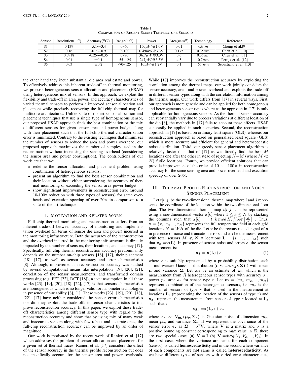<span id="page-2-0"></span>

| Sensor         | Resolution( ${}^{0}C$ ) | Accuracy $({}^0C)$ | $Range(^{0}C)$ | Power                | Area $(mm^2)$ | Technology   | Reference                   |
|----------------|-------------------------|--------------------|----------------|----------------------|---------------|--------------|-----------------------------|
| S1             | 0.139                   | $-5.1 - +3.4$      | $0 - 60$       | $150 \mu W @ 1.0 V$  | 0.01          | 65nm         | Chung et al. <sup>[9]</sup> |
| S2             | 0.16                    | $-0.7 - +0.9$      | $0 - 100$      | $0.49$ mW@3.3V       | 0.175         | $0.35 \mu m$ | Chen et al. $[10]$          |
| S <sub>3</sub> | 0.0918                  | $-0.25 - +0.35$    | $0 - 90$       | $36.7 \mu W @ 3.3 V$ | 0.6           | $0.35 \mu m$ | Chen el al. $[11]$          |
| S <sub>4</sub> | 0.01                    | $\pm 0.1$          | $-55 - 125$    | $247 \mu W @ 3.3 V$  | 4.5           | $0.7 \mu m$  | Pertijs et al. [12]         |
| S <sub>5</sub> | 0.03                    | $\pm 0.2$          | $-70 - 125$    | $10 \mu W @ 1.2 V$   | 0.1           | $65\ nm$     | Sebastiano et al. [13]      |

Table I COMPARISON OF RECENT SMART TEMPERATURE SENSORS

the other hand they incur substantial die area real estate and power. To effectively address this inherent trade-off in thermal monitoring, we propose heterogeneous sensor allocation and placement (HSAP) using heterogeneous mix of sensors. In this approach, we exploit the flexibility and trade-off in area, power, and accuracy characteristics of varied thermal sensors to perform a improved sensor allocation and placement while precisely recovering the full-chip thermal map for multicore architectures. Unlike state-of-the-art sensor allocation and placement techniques that use a single type of homogeneous sensor, our proposed HSAP approach finds the best combination or the mix of different sensors for given sensor area and power budget along with their placement such that the full-chip thermal characterization error is minimized. Contrary to the existing techniques that minimizes the number of sensors to reduce the area and power overhead, our proposed approach maximizes the number of samples used in the reconstruction without increasing the sensing overhead (considering the sensor area and power consumption). The contributions of our work are that we:

- redefine the sensor allocation and placement problem using combination of heterogeneous sensors,
- present an algorithm to find the best sensor combination and their location without either surrendering the accuracy of thermal monitoring or exceeding the sensor area power budget,
- show significant improvements in reconstruction error (around 10-100x reduction with three types of sensors) for same overheads and execution speedup of over  $20 \times$  in comparison to a state-of-the-art technique.

#### II. MOTIVATION AND RELATED WORK

Full chip thermal monitoring and reconstruction suffers from an inherent trade-off between accuracy of monitoring and implementation overhead (in terms of sensor die area and power) incurred in the monitoring infrastructure. Both the accuracy of the reconstruction and the overhead incurred in the monitoring infrastructure is directly impacted by the number of sensors, their locations, and accuracy [\[17\]](#page-6-16). Specifically, full chip thermal reconstruction accuracy predominantly depends on the number on-chip sensors [\[18\]](#page-6-17), [\[17\]](#page-6-16), their placement [\[18\]](#page-6-17), [\[17\]](#page-6-16), as well as sensor accuracy and error characteristics [\[8\]](#page-6-7). Although, improvement in reconstruction accuracy was studied by several computational means like interpolation [\[19\]](#page-6-18), [\[20\]](#page-6-19), [\[21\]](#page-6-20), correlation of the sensor measurements, and transformed domain processing (e.g. FFT [\[22\]](#page-6-21), DCT [\[18\]](#page-6-17)), a tacit assumption in all these works [\[23\]](#page-6-22), [\[19\]](#page-6-18), [\[20\]](#page-6-19), [\[18\]](#page-6-17), [\[22\]](#page-6-21), [\[17\]](#page-6-16) is that sensors characteristics are homogeneous which is no longer valid for nanometer technologies in presence of variability [\[8\]](#page-6-7), [\[1\]](#page-6-0). These works [\[23\]](#page-6-22), [\[19\]](#page-6-18), [\[20\]](#page-6-19), [\[18\]](#page-6-17), [\[22\]](#page-6-21), [\[17\]](#page-6-16) have neither considered the sensor error characteristics nor did they exploit the trade-offs in sensor characteristics to improve reconstruction accuracy. In this paper, we exploit these tradeoff characteristics among different sensor type with regard to the reconstruction accuracy and show that by using mix of many weak and inaccurate sensors along with few robust and accurate ones, the full-chip reconstruction accuracy can be improved by an order of magnitude.

Our work is motivated by the recent work of Ranieri et al. [\[17\]](#page-6-16) which addresses the problem of sensor allocation and placement for a given set of thermal traces. Ranieri et al. [\[17\]](#page-6-16) considers the effect of the sensor accuracy in the thermal profile reconstruction but does not specifically account for the sensor area and power overheads.

While [\[17\]](#page-6-16) improves the reconstruction accuracy by exploiting the correlation among the thermal maps, our work jointly considers the sensor accuracy, area, and power overhead and exploits the trade-off in different sensor types along with the correlation information among the thermal maps. Our work differs from [\[17\]](#page-6-16) in several ways. First, our approach is more generic and can be applied for both homogenous and heterogeneous sensor types where as the approach in [\[17\]](#page-6-16) is only applicable for homogeneous sensors. As the thermal sensor accuracy can substantially vary due to process variations at different location of the die [\[8\]](#page-6-7), the methods in [\[17\]](#page-6-16) fails to account these effects. HSAP can easily be applied in such scenarios. Second, the reconstruction approach in [\[17\]](#page-6-16) is based on ordinary least square (OLS), whereas our reconstruction approach is based on generalized least square (GLS) which is more accurate and efficient for general and heteroscedastic noise distribution. Third, our greedy sensor placement algorithm is relatively faster than that of [\[17\]](#page-6-16) as we directly find the best M locations one after the other in stead of rejecting  $N-M$  (where  $M \ll$  $N$ ) futile locations. Fourth, we provide efficient solutions that can provide improvement of the order of  $10 \times -100 \times$  in reconstruction accuracy for the same sensing area and power overhead and execution speedup of over 20×.

## <span id="page-2-2"></span>III. THERMAL PROFILE RECONSTRUCTION AND NOISY SENSOR PLACEMENT

Let  $t[i, j]$  be the two-dimensional thermal map where i and j represents the coordinate of the location within the two-dimensional floor plan. The two-dimensional thermal map  $t[i, j]$  can be represented using a one-dimensional vector  $x[k]$  where  $1 \leq k \leq N$  by stacking the columns such that  $x[k] = t[k \mod H, floor\left[\frac{k}{W}\right]]$ . Thus,  $\mathbf{x} = \{x_1, x_2, \dots, x_N\}$  represents the full temperature field at each grid locations  $N = WH$  of the die. Let  $\hat{x}$  be the reconstructed signal of x in presence of noise and truncation errors and  $x_S$  be the measurement with total sensors  $M \ll N$  at locations  $\mathbf{L} = \{i_1, i_2, ..., i_M\}$  such that  $x_S = x(L)$ . In presence of sensor noise and errors  $\epsilon$ , the sensor measurement is:

<span id="page-2-1"></span>
$$
\mathbf{x}_{\mathbf{S}} = \mathbf{x}(\mathbf{L}) + \boldsymbol{\epsilon} \tag{1}
$$

where  $\epsilon$  is suitably represented by a probability distribution such as multivariate Gaussian distribution ( $\epsilon \sim \mathcal{N}_M(\mu, \Sigma)$ ) with mean  $\mu$  and variance Σ. Let  $\hat{x}_s$  be an estimate of x<sub>S</sub> which is the measurement from R heterogeneous sensor types with accuracy  $\sigma_r$ , power  $p_r$ , area  $a_r$  for sensor type r. Let  $\mathbf{m} = \{m_1, m_2, ..., m_R\}$ represent combination of the heterogenous sensors, i.e.  $m<sub>r</sub>$  is the number of sensors of type  $r$  that is used in the measurement at locations  $L_r$  (representing the location of the sensors of type r) and  $x_{S_r}$  represent the measurement from sensor of type r located at  $L_r$ such that :

$$
\mathbf{x_{S_r}} = \!\mathbf{x(L_r}) + \boldsymbol{\epsilon_r}
$$

where  $\epsilon_r \sim \mathcal{N}_{m_r}(\mu_r, \Sigma_r)$  is Gaussian noise of dimension  $m_r$ , mean  $\mu_r$ , and variance  $\Sigma_r$ . If we represent the covariance of the sensor error  $\epsilon_s$  as  $\Sigma = \sigma^2 V$ , where V is a matrix and  $\sigma$  is a positive bounding constant corresponding to max value in  $\Sigma$ , there are two special cases (a)  $V = I$  (b)  $V = diag(V_1, V_2, ..., V_R)$ . In the first case, where the variance are same for each component (sensor), is called homoscedasticity and in the second where variance of each components are not same is called heteroscedasticity. As we have different types of sensors with varied error characteristics,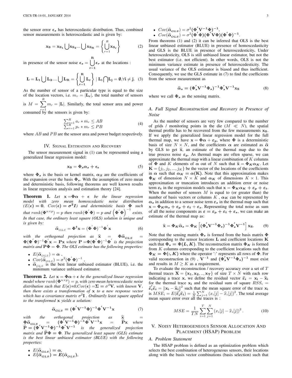the sensor error  $\epsilon_s$  has heteroscedastic distribution. Thus, combined sensor measurements is heteroscedastic and is given by:

$$
\mathbf{x}_{\mathbf{S}} = \mathbf{x}_{\mathbf{S}_1} \bigcup \mathbf{x}_{\mathbf{S}_2} \dots \bigcup \mathbf{x}_{\mathbf{S}_{\mathbf{R}}} = \left\{ \bigcup_{r=1}^{R} \mathbf{x}_{\mathbf{S}_r} \right\}
$$
(2)

in presence of the sensor noise  $\epsilon_s = \begin{bmatrix} R \end{bmatrix}$ r=1  $\epsilon_r$  at the locations :

$$
\mathbf{L} = \mathbf{L}_1 \bigcup \mathbf{L}_2....\bigcup \mathbf{L}_{\mathbf{R}} = \left\{\bigcup_{r=1}^{\mathbf{R}} \mathbf{L}_r\right\} \mid \mathbf{L}_i \bigcap \mathbf{L}_j = \emptyset, \forall i \neq j. \quad (3)
$$

As the number of sensor of a particular type is equal to the size of the location vectors, i.e.  $m_r = |\mathbf{L}_r|$ , the total number of sensors is  $M = \sum_{n=1}^{R}$ 

 $r=1$  $m_r = |{\bf L}|$ . Similarly, the total sensor area and power consumed by the sensors is given by:

$$
\sum_{r=1}^{R} a_r * m_r \le AB
$$
  

$$
\sum_{r=1}^{R} p_r * m_r \le PB
$$
 (4)

where  $AB$  and  $PB$  are the sensor area and power budget respectively.

#### IV. SIGNAL ESTIMATION AND RECOVERY

<span id="page-3-4"></span>The sensor measurement signal in [\(1\)](#page-2-1) can be represented using a generalized linear regression model:

$$
x_{\rm S} = \Phi_s \alpha_s + \epsilon_{\rm s} \tag{5}
$$

where  $\Phi_s$  is the basis or kernel matrix,  $\alpha_s$  are the coefficients of the expansion over the basis  $\Phi_s$ . With the assumption of zero mean and deterministic basis, following theorems are well known results in linear regression analysis and estimation theory [\[24\]](#page-6-23).

<span id="page-3-0"></span>**Theorem 1.** Let  $x = \Phi \alpha + \epsilon$  be the linear regression *model with zero mean homoscedastic noise distribution*  $(E(\epsilon) = 0, Cov(\epsilon) = \sigma^2 I)$  and deterministic basis  $\Phi$  such *that*  $rank(\mathbf{\Phi}^{n \times p}) = p$  *then*  $rank(\mathbf{\Phi}' \mathbf{\Phi}) = p$  *and*  $({\mathbf{\Phi}' \mathbf{\Phi})}^{-1}$  *exists. In that case, the ordinary least square (OLS) solution is unique and is given by:*

$$
\hat{\alpha}_{OLS} = \mathbf{\Phi}^{\dagger} \mathbf{x} = (\mathbf{\Phi}^{'} \mathbf{\Phi})^{-1} \mathbf{\Phi}^{'} \mathbf{x}
$$
 (6)

*with the orthogonal projection as*  $\hat{x} = \Phi \hat{\alpha}_{OLS} = \Phi(\Phi' \Phi)^{-1} \Phi'$  *is the projection matrix and*  $\mathbf{P}\Phi = \Phi$ *. The OLS estimate has the following properties:* 

- $E(\widehat{\alpha}_{OLS}) = \alpha$ ,
- $Cov(\hat{\alpha}_{OLS}) = \sigma^2 (\Phi' \Phi)^{-1}$ ,
- $\hat{\alpha}_{OLS}$  is the best linear unbiased estimator (BLUE), i.e. the minimum variance unbiased estimator.

<span id="page-3-1"></span>**Theorem 2.** Let  $x = \Phi \alpha + \epsilon$  be the generalized linear regression  $\mathit{model}$  where  $\mathit{rank}(\mathbf{\Phi}^{n\times p})=p$ , with zero mean heteroscedastic noise *distribution such that*  $E(\epsilon) = 0$ ,  $Cov(\epsilon) = \Sigma = \sigma^2 V$ , with known V, *then there exists a transformation of* x *to a new response vector which has a covariance matrix* σ 2 I *. Ordinarily least square applied to the transformed* x *yields a solution:*

<span id="page-3-2"></span>
$$
\hat{\alpha}_{GLS} = (\Phi' V^{-1} \Phi)^{-1} \Phi' V^{-1} x \tag{7}
$$

*with the orthogonal projection as*  $\hat{\mathbf{x}} = \Phi \hat{\alpha}_{GLS} = (\Phi' V^{-1} \Phi)^{-1} \Phi' V^{-1} \mathbf{x} = \tilde{P} \mathbf{x}$  *where*<br>  $\tilde{\mathbf{p}} = (\mathbf{x}' V^{-1} \mathbf{x})^{-1} \mathbf{x}' V^{-1}$  is the conventing projection  $\widetilde{P} = (\Phi' V^{-1} \Phi)^{-1} \Phi' V^{-1}$  is the generalized projection *matrix and*  $\tilde{P}\Phi = \Phi$ *. The generalized least square (GLS) estimate is the best linear unbiased estimator (BLUE) with the following properties:*

• 
$$
E(\hat{\alpha}_{GLS}) = \alpha
$$
,  
•  $E(\hat{\alpha}) = E(\hat{\alpha})$ 

• 
$$
E(\hat{\alpha}_{GLS}) = E(\hat{\alpha}_{OLS}),
$$

From theorems [\(1\)](#page-3-0) and [\(2\)](#page-3-1) it can be inferred that OLS is the best linear unbiased estimator (BLUE) in presence of homoscedasticity and GLS is the BLUE in presence of heteroscedesticity. Under heteroscedesticity, OLS is still unbiased linear estimator, but not the best estimator (i.e. not efficient). In other words, OLS is not the minimum variance estimate in presence of heteroscedesticity. The usual variance of the OLS estimator is biased and thus inefficient. Consequently, we use the GLS estimate in [\(7\)](#page-3-2) to find the coefficients from the sensor measurement as

$$
\hat{\alpha}_s = (\Phi_s' V^{-1} \Phi_s)^{-1} \Phi_s' V^{-1} \mathbf{x}_S
$$
\n(8)

where we call  $\Phi_s$  as the sensing matrix.

## <span id="page-3-5"></span>*A. Full Signal Reconstruction and Recovery in Presence of Noise*

As the number of sensors are very few compared to the number of grids / monitoring points in the die  $(M \ll N)$ , the spatial thermal profile has to be recovered from the few measurements  $x_S$ . If we apply the generalized linear regression model for the full thermal map, we have  $\mathbf{x} = \mathbf{\Phi} \alpha + \varepsilon_p$ , where  $\mathbf{\Phi}$  is a deterministic basis of size  $N \times N$ , and the coefficients  $\alpha$  are estimated as  $\hat{\alpha}$ by GLS to get  $\hat{x}$ , an estimate of the thermal map due to the true process noise  $\varepsilon_p$ . As thermal maps are often sparse, we can approximate the thermal map with a linear combination of  $K$  columns of  $\Phi$  and K elements of  $\alpha$  out of N such that  $\tilde{\mathbf{x}} = \Phi_K \alpha_K$ . Let  $\mathbf{K} = \{j_1, j_2, ..., j_K\}$  be the vector of the locations of the coefficients in  $\alpha$  such that  $\alpha_K = \alpha(K)$ . Note that this approximation makes  $\Phi_K$  of dimension  $N \times K$  and  $\alpha_K$  of dimensions  $K \times 1$ . This approximation or truncation introduces an addition error or noise term  $\varepsilon_t$  in the regression models such that  $\mathbf{x} = \mathbf{\Phi}_K \alpha_K + \varepsilon_p + \varepsilon_t$ . When the number of sensors  $M$  is equal to (or greater than) the number of basis vectors or columns K,  $\alpha_K$  can be represented by  $\alpha_s$  in addition to a sensor noise term  $\varepsilon_s$  in the thermal map such that  $x = \Phi_K \alpha_s + \varepsilon_p + \varepsilon_t + \varepsilon_s$ . Representing the total noise as sum of all the noise components as  $\varepsilon = \varepsilon_p + \varepsilon_t + \varepsilon_s$ , we can make an estimate of the thermal map as:

<span id="page-3-3"></span>
$$
\widehat{\mathbf{x}} = \Phi_K \widehat{\alpha}_s = \Phi_K \left[ \left( \Phi_s' \mathbf{V}^{-1} \Phi_s \right)^{-1} \Phi_s' \mathbf{V}^{-1} \right] \mathbf{x}_\mathbf{S}.
$$
 (9)

Note that the sensing matrix  $\Phi_s$  is formed from the basis matrix  $\Phi$ corresponding to the sensor locations  $L$  and coefficient locations  $K$ such that  $\Phi_s = \Phi(L, K)$ . The reconstruction matrix  $\Phi_K$  is formed from K columns corresponding to the coefficient locations such that  $\Phi_K = \Phi(:, K)$  where the operator ':' represents all rows of  $\Phi$ . For valid reconstruction in [\(9\)](#page-3-3),  $V^{-1}$  and  $(\dot{\Phi}'_s V^{-1} \Phi_s)^{-1}$  must exist and results in  $M \geq K$  as a requirement.

To evaluate the reconstruction / recovery accuracy over a set of  $T$ thermal traces  $X = \{x_1, x_2, ..., x_T\}$  of size  $T \times N$  with each row indicating a trace x, we define the residual vector  $\hat{\varepsilon}_i = x_i - \hat{x}_i$ for the thermal trace  $x_i$  and the residual sum of square  $RSS_i$  =  $\hat{\epsilon}_i' \hat{\epsilon}_i = ||\mathbf{x}_i - \hat{\mathbf{x}}_i||^2$  such that the mean square error of the trace  $\mathbf{x}_i$ <br>is  $MSE = E(\hat{\epsilon}, \hat{\epsilon}) = \frac{1}{2} \sum_{i=1}^{N} (\hat{\epsilon}_i | \hat{\epsilon}_i) \hat{\epsilon}_i \hat{\epsilon}_i$ is  $MSE_i = E(\hat{\epsilon}_i \hat{\epsilon}_i) = \frac{1}{N} \sum_{j=1}^{N} (x_i[j] - \hat{x}_i[j])^2$ . The total average mean square error over all the traces is mean square error over all the traces is :

$$
MSE = \frac{1}{TN} \sum_{i=1}^{T} \sum_{j=1}^{N} (x_i[j] - \hat{x}_i[j])^2.
$$
 (10)

## V. NOISY HETEROGENEOUS SENSOR ALLOCATION AND PLACEMENT (HSAP) PROBLEM

#### *A. Problem Statement*

The HSAP problem is defined as an optimization problem which selects the best combination of heterogeneous sensors, their locations along with the basis vector combinations (basis selection) such that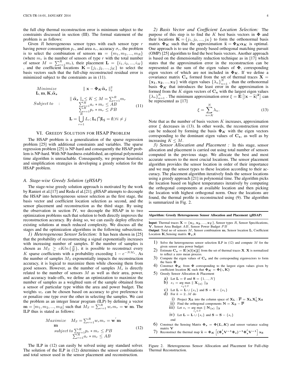the full chip thermal reconstruction error is minimum subject to the constraints discussed in section [\(III\)](#page-2-2). The formal statement of the problem is as follows:

Given  $R$  heterogeneous sensor types with each sensor type  $r$ having power consumption  $p_r$ , and area  $a_r$ , accuracy  $\sigma_r$ , the problem is to select the combination of sensors  $\mathbf{m} = \{m_1, m_2, ..., m_R\}$ (where  $m_r$  is the number of sensors of type r with the total number of sensor  $M = \sum_{r=1}^{R} m_r$ , their placement  $\mathbf{L} = \{i_1, i_2, ..., i_M\}$ , and the coefficient locations  $\mathbf{K} = \{j_1, j_2, ..., j_K\}$  to select the basis vectors such that the full-chip reconstructed residual error is minimized subject to the constraints as in [\(11\)](#page-4-0).

<span id="page-4-0"></span>Minimize  
\n
$$
\|\mathbf{x} - \Phi_{\mathbf{K}}\hat{\alpha}_{s}\|_{2}^{2}
$$
\n
$$
\text{Subject to} \qquad \|\hat{\alpha}_{s}\|_{0} \leq K \leq M = \sum_{r=1}^{R} m_{r}
$$
\n
$$
\text{Subject to} \qquad \sum_{\substack{r=1\\K}^{R} 1} a_{r} * m_{r} \leq AB
$$
\n
$$
\text{L} = \bigcup_{r=1}^{R} L_{r}; \text{L}_{i} \bigcap \text{L}_{j} = \emptyset, \forall i \neq j
$$
\n(11)

#### VI. GREEDY SOLUTION FOR HSAP PROBLEM

The HSAP problem is a generalization of the sparse regression problem [\[25\]](#page-6-24) with additional constraints and variables. The sparse regression problem [\[25\]](#page-6-24) is NP-hard and consequently the HSAP problem is NP-hard. With NP-hardness established, an optimal polynomial time algorithm is unreachable. Consequently, we propose heuristics and simplification strategies in developing a greedy solution for the HSAP problem.

## <span id="page-4-4"></span>*A. Stage-wise Greedy Solution (gHSAP)*

The stage-wise greedy solution approach is motivated by the work by Ranieri et al.[\[17\]](#page-6-16) and Reda el al.[\[21\]](#page-6-20). gHSAP attempts to decouple the HSAP into heterogeneous sensor selection as the first stage, the basis vector and coefficient location selection as second, and the sensor placement and reconstruction as the third stage. By using the observation in section [IV,](#page-3-4) we decouple the HSAP in to two optimization problems such that solution to both directly improves the reconstruction accuracy. By doing so, we can easily deploy effective existing solutions at much reduced complexity. We discuss all the stages and the optimization algorithms in the following subsections.

*1) Heterogeneous Sensor Selection:* It has been shown in [\[25\]](#page-6-24) that the probability of reconstructing a signal exponentially increases with increasing number of samples. If the number of samples is chosen as  $M_S \ge cK \ln\left(\frac{N}{K}\right)$ , it is possible to reconstruct every K sparse coefficients with a probability exceeding  $1 - e^{-NM_s}$ . As the number of samples  $M<sub>S</sub>$  exponentially impacts the reconstruction accuracy, it is logical to maximize them while choosing them from good sensors. However, as the number of samples  $M_s$  is directly related to the number of sensors  $M$  as well as their area, power, and accuracy trade-offs, we define an optimization to maximize the number of samples as a weighted sum of the sample obtained from a sensor of particular type within the area and power budget. The weights  $w_r$  can be chosen based on accuracy to give preference to or penalize one type over the other in selecting the samples. We cast the problem as an integer linear program (ILP) by defining a vector  **such that**  $M_S = \sum_{r=1}^{R} w_r m_r = \mathbf{w}' \mathbf{m}$ **. The** ILP thus is stated as follows:

<span id="page-4-1"></span>
$$
Maximize \t M_S = \sum_{r=1}^{R} w_r m_r = \mathbf{w}' \mathbf{m}
$$
  
\n**m**  
\nsubject to  $\sum_{r=1}^{R} p_r * m_r \le PB$   
\n $\sum_{r=1}^{R} a_r * m_r \le AB$  (12)

The ILP in [\(12\)](#page-4-1) can easily be solved using any standard solver. The solution of the ILP in [\(12\)](#page-4-1) determines the sensor combinations and total sensor used in the sensor placement and reconstruction.

*2) Basis Vector and Coefficient Location Selection:* The purpose of this step is to find the K best basis vectors in  $\Phi$  and their locations  $\mathbf{K} = \{j_1, j_2, ..., j_K\}$  to form the orthonormal basis matrix  $\Phi_K$  such that the approximation  $\tilde{\mathbf{x}} = \Phi_K \alpha_K$  is optimal. One approach is to use the greedy based orthogonal matching pursuit (OMP) [\[25\]](#page-6-24) algorithm to find the best basis vectors. Another approach is based on the dimensionality reduction technique as in [\[17\]](#page-6-16) which states that the approximation error in the reconstruction can be represented as the sum of the eigen values of  $\Phi$ , corresponding eigen vectors of which are not included in  $\Phi_K$ . If we define a covariance matrix  $C_x$  formed from the set of thermal traces  $X =$  ${x_1, x_2, ..., x_T}$  with eigen values  ${\{\lambda_n\}}_{n=1}^N$ , than the orthonormal basis  $\Phi_K$  that introduces the least error in the approximation is formed from the  $K$  eigen vectors of  $C_x$  with the largest eigen values  $\{\lambda_n\}_{n=1}^K$ . The minimum approximation error  $\xi = \mathbf{E} \left[ |\mathbf{x} - \tilde{\mathbf{x}}|^2 \right]$  can<br>be represented as [17] be represented as [\[17\]](#page-6-16)

<span id="page-4-2"></span>
$$
\xi = \sum_{n=K}^{N} \lambda_n.
$$
 (13)

Note that as the number of basis vectors  $K$  increases, approximation error  $\xi$  decreases in [\(13\)](#page-4-2). In other words, the reconstruction error can be reduced by forming the basis  $\Phi_K$  with the eigen vectors corresponding to the dominant eigen values of  $C_x$ , as well as by increasing  $K \leq M$ .

*3) Sensor Allocation and Placement :* In this stage, sensor allocation and placement is carried out using total number of sensors computed in the previous stage. We allocate the best and most accurate sensors to the most crucial locations. The sensor placement algorithm provides the sensor location in order of their importance and we map the sensor types to these location according to their accuracy. The placement algorithm iteratively finds the sensor locations using a greedy approach [\[21\]](#page-6-20) in polynomial time. The algorithm picks the location based on highest temperatures iteratively by computing the orthogonal components at available location and then picking the location with highest orthogonal norm. Once the locations are found, the thermal profile is reconstructed using [\(9\)](#page-3-3). The algorithm is summarized in Fig. [2.](#page-4-3)

#### Algorithm: Greedy Heterogeneous Sensor Allocation and Placement (gHSAP)

**Input:** Thermal traces  $X = \{x_1, x_2, ..., x_T\}$ , Sensor types R, Sensor Specifications, , Sensor Area Budget  $AB$ , Sensor Power Budget  $PB$ Output: Total no of sensors  $M$ , Sensor combination  $m$ , Sensor location  $L$ , Coefficient

- Location K,Sensing matrix  $\mathbf{\Phi}_s$ , $\hat{\mathbf{x}}$ 1) Solve the heterogeneous sensor selection ILP in  $(12)$  and compute M for the
	- given sensor area power budget 2) Estimate  $C_x = E[x[i]x[j]]$  from the set of thermal traces **X**. **X** is normalized
	- to reflect a zero mean process.
	- 3) Compute the eigen values of  $C_x$  and the corresponding eigenvectors to form the basis Φ 4) Construct  $\Phi_K$  from  $\Phi$  corresponding to the largest eigen values given by
	- coefficient location **K** such that  $\Phi_K = \Phi(:, K)$ 5) Greedy Sensor Allocation & Placement
		- a) Let  $\mathbf{L} = \emptyset$  and  $\mathbf{S} = \{1, ..., N\}$ 
			- b)  $s_1 = \arg \max ||\mathbf{X}_{\{s\}}||_2$
		- $s_1 \in S$
		- c) Let  $L = L \cup \{s_1\}$  and  $S = S \{s_1\}$ d) For  $k = 2...M$  do
			- 1) Project  $X_S$  into the column space of  $X_L : \overline{P} = X_L X_L^{\dagger} X_S$
			- ii) Find the orthogonal components  $N = X_S \overline{P}$
			- iii) Let  $s_i = \underset{s_i \in S}{\arg \max} \parallel \mathbf{N}_{\{\mathbf{s}\}} \parallel_2$
			- iv) Let  $\mathbf{L} = \mathbf{L} \cup \{s_i\}$  and  $\mathbf{S} = \mathbf{S} \{s_i\}$

$$
\begin{array}{c}\n\cdots \\
\text{end}\n\end{array}
$$

- 6) Construct the Sensing Matrix  $\Phi_s = \Phi(L, K)$  and sensor variance scaling
- matrix V 7) Reconstruct the thermal map  $\hat{\mathbf{x}} = \mathbf{\Phi}_K \left[ (\mathbf{\Phi}_s' \mathbf{V}^{-1} \mathbf{\Phi}_s)^{-1} \mathbf{\Phi}_s' \mathbf{V}^{-1} \right] \mathbf{x}_S$

<span id="page-4-3"></span>Figure 2. Heterogeneous Sensor Allocation and Placement for Full-chip Thermal Reconstruction.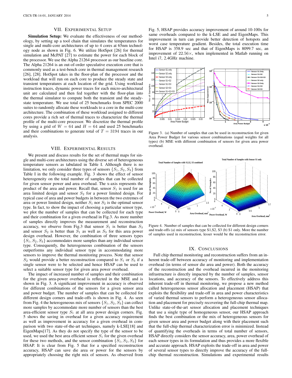## VII. EXPERIMENTAL SETUP

Simulation Setup: We evaluate the effectiveness of our methodology, by setting up a tool chain that simulates the temperatures for single and multi-core architectures of up to 4 cores at 65nm technology node as shown in Fig. [6.](#page-7-0) We utilize HotSpot [\[26\]](#page-6-25) for thermal simulation and McPAT [\[27\]](#page-6-26) to estimate the power for each block of the processor. We use the Alpha 21264 processor as our baseline core. The Alpha 21264 is an out-of-order speculative execution core that is commonly used as a test-bench core in thermal management research [\[26\]](#page-6-25), [\[28\]](#page-6-27). HotSpot takes in the floor-plan of the processor and the workload that will run on each core to produce the steady state and transient temperatures at each location of the grid. Using workload instruction traces, dynamic power traces for each micro-architectural unit are calculated and then fed together with the floor-plan into the thermal simulator to compute both the transient and the steadystate temperature. We use total of 25 benchmarks from SPEC 2000 suites to randomly allocate these workloads to a core in the multi-core architecture. The combination of these workload assigned to different cores provide a rich set of thermal traces to characterize the thermal profile of the multi-core processor. We discretize the thermal profile by using a grid of  $W = 64$  and  $H = 64$  and used 25 benchmarks and their combinations to generate total of  $T = 3194$  traces in our analysis.

#### VIII. EXPERIMENTAL RESULTS

We present and discuss results for the set of thermal maps for single and multi-core architectures using the diverse set of heterogeneous temperature sensors as tabulated in Table [I.](#page-2-0) Although there is no limitation, we only consider three types of sensors  $\{S_1, S_2, S_3\}$  from Table [I](#page-2-0) in the following example. Fig. [3](#page-5-0) shows the effect of sensor heterogeneity on the total number of samples that can be collected for given sensor power and area overhead. The x-axis represents the product of the area and power. Recall that, sensor  $S_1$  is used for an area limited design and sensor  $S_2$  for a power limited design. For typical case of area and power budgets in between the two extremes of area or power limited design, neither  $S_1$  nor  $S_2$  is the optimal sensor type. In fact, to show the impact of choosing a particular sensor type, we plot the number of samples that can be collected for each type and their combination for a given overhead in Fig[.3.](#page-5-0) As more number of samples directly improves the measurement and reconstruction accuracy, we observe from Fig[.3](#page-5-0) that sensor  $S_1$  is better than  $S_3$ and sensor  $S_2$  is better than  $S_1$  as well as  $S_3$  for this area power design overhead. However, the combination of three sensors types  $\{S_1, S_2, S_3\}$  accommodates more samples than any individual sensor type. Consequently, the heterogeneous combination of the sensors outperforms any individual sensor type in accommodating more sensors to improve the thermal monitoring process. Note that sensor  $S_2$  would provide a better reconstruction compared to  $S_1$  or  $S_3$  if a single sensor were to be selected and hence HSAP can be used to select a suitable sensor type for given area power overhead.

The impact of increased number of samples and their combination for the given area-power overhead is reflected in the MSE and is shown in Fig. [3.](#page-5-0) A significant improvement in accuracy is observed for different combinations of the sensors for a given sensor area and power budget. The number of samples that can be collected for different design corners and trade-offs is shown in Fig. [4.](#page-5-1) As seen from Fig. [4](#page-5-1) the heterogeneous mix of sensors  $\{S_1, S_2, S_3\}$  can collect more samples by accommodate more number of sensors than the best area-efficient sensor type  $S_1$  at all area power design corners. Fig. [5](#page-6-28) shows the saving in overhead for a given accuracy requirement as well as improvement in accuracy for a given overhead in comparison with two state-of-the-art techniques, namely k-LSE[\[18\]](#page-6-17) and EigenMaps[\[17\]](#page-6-16). As they do not specify the type of the sensor to be used, we used the best area efficient sensor  $S_1$  for the given overhead for these two methods, and the sensor combination  $\{S_1, S_2, S_3\}$  for HSAP. It is clear from Fig. [5](#page-6-28) that for a specified reconstruction accuracy, HSAP can save die area or power for the sensors by appropriately choosing the right mix of sensors. As observed from

Fig. [5,](#page-6-28) HSAP provides accuracy improvement of around 10-100x for same overheads compared to the k-LSE and and EigenMaps. This improvement in turn can provide better detection of hotspots and worst case temperature gradient. Besides, the total execution time for HSAP is 358.9 sec and that of EigenMaps is 8099.7 sec, an improvement of  $22.56\times$ , when implemented in Matlab running on Intel i7, 2.4GHz machine.



<span id="page-5-0"></span>Figure 3. (a) Number of samples that can be used in reconstruction for given Area Power Budget for various sensor combinations (equal weights for all types) (b) MSE with different combination of sensors for given area power overhead.



<span id="page-5-1"></span>Figure 4. Number of samples that can be collected for different design corners and trade-offs (a) mix of sensors type S1,S2, S3 (b) S1 only. More the number of samples used in reconstruction, lesser would be the reconstruction error.

## IX. CONCLUSIONS

Full chip thermal monitoring and reconstruction suffers from an inherent trade-off between accuracy of monitoring and implementation overhead (in terms of sensor die area and power). Both the accuracy of the reconstruction and the overhead incurred in the monitoring infrastructure is directly impacted by the number of samples, sensor locations, and accuracy of the sensors. To effectively address this inherent trade-off in thermal monitoring, we propose a new method called heterogeneous sensor allocation and placement (HSAP) that exploits the flexibility and trade-off in area and power characteristics of varied thermal sensors to perform a heterogeneous sensor allocation and placement for precisely recovering the full-chip thermal map. Unlike state-of-the-art sensor allocation and placement techniques that use a single type of homogeneous sensor, our HSAP approach finds the best combination or the mix of heterogeneous sensors for given sensor area and power budget along with their placement such that the full-chip thermal characterization error is minimized. Instead of quantifying the overheads in terms of total number of sensors, HSAP directly considers the sensor accuracy, area, power overhead of each sensor types in its formulation and thus provides a more flexible and accurate approach. HSAP exploits the trade-off in area and power of several sensor types to directly improve the accuracy of the fullchip thermal reconstruction. Simulations and experimental results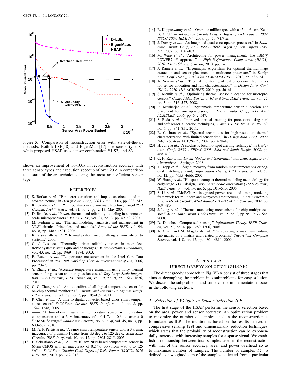

<span id="page-6-28"></span>Figure 5. Comparison of reconstruction error with state-of-the-art methods. Both k-LSE[\[18\]](#page-6-17) and EigenMaps[\[17\]](#page-6-16) use sensor type S1 while proposed HSAP uses sensor combination S1,S2, and S3.

shows an improvement of 10-100x in reconstruction accuracy with three sensor types and execution speedup of over  $20 \times$  in comparison to a state-of-the-art technique using the most area efficient sensor type.

#### **REFERENCES**

- <span id="page-6-0"></span>[1] S. Borkar *et al.*, "Parameter variations and impact on circuits and microarchitecture," in *Design Auto. Conf., 2003. Proc.*, 2003, pp. 338–342.
- <span id="page-6-1"></span>[2] K. Skadron *et al.*, "Temperature-aware microarchitecture," *SIGARCH Comput. Archit. News*, vol. 31, no. 2, pp. 2–13, May 2003.
- <span id="page-6-2"></span>[3] D. Brooks *et al.*, "Power, thermal, and reliability modeling in nanometerscale microprocessors," *Micro, IEEE*, vol. 27, no. 3, pp. 49–62, 2007.
- <span id="page-6-3"></span>[4] M. Pedram *et al.*, "Thermal modeling, analysis, and management in VLSI circuits: Principles and methods," *Proc. of the IEEE*, vol. 94, no. 8, pp. 1487–1501, 2006.
- <span id="page-6-4"></span>[5] R. Viswanath *et al.*, "Thermal performance challenges from silicon to systems," 2000.
- <span id="page-6-5"></span>[6] C. J. Lasance, "Thermally driven reliability issues in microelectronic systems: status-quo and challenges," *Microelectronics Reliability*, vol. 43, no. 12, pp. 1969 – 1974, 2003.
- <span id="page-6-6"></span>[7] E. Rotem *et al.*, "Temperature measurement in the Intel Core Duo Processor," in *Proc. Intl Workshop Thermal Investigations of ICs*, 2006, pp. 23–27.
- <span id="page-6-7"></span>[8] Y. Zhang *et al.*, "Accurate temperature estimation using noisy thermal sensors for gaussian and non-gaussian cases," *Very Large Scale Integration (VLSI) Systems, IEEE Trans. on*, vol. 19, no. 9, pp. 1617–1626, 2011.
- <span id="page-6-11"></span>[9] C.-C. Chung *et al.*, "An autocalibrated all-digital temperature sensor for on-chip thermal monitoring," *Circuits and Systems II: Express Briefs, IEEE Trans. on*, vol. 58, no. 2, pp. 105–109, 2011.
- <span id="page-6-12"></span>[10] P. Chen et al., "A time-to-digital-converter-based cmos smart temperature sensor," *Solid-State Circuits, IEEE Jr. of*, vol. 40, no. 8, pp. 1642–1648, 2005.
- <span id="page-6-13"></span>[11] ——, "A time-domain sar smart temperature sensor with curvature compensation and a 3  $\sigma$  inaccuracy of  $-0.4 \degree c$  +0.6  $\degree c$  over a 0 <sup>o</sup>c to 90 <sup>o</sup>c range," Solid-State Circuits, IEEE Jr. of, vol. 45, no. 3, pp. 600–609, 2010.
- <span id="page-6-14"></span>[12] M. A. P. Pertijs *et al.*, "A cmos smart temperature sensor with a 3 sigma; inaccuracy of plusmn;0.1 deg;c from -55 deg;c to 125 deg;c," *Solid-State Circuits, IEEE Jr. of*, vol. 40, no. 12, pp. 2805–2815, 2005.
- <span id="page-6-15"></span>[13] F. Sebastiano *et al.*, "A 1.2v 10  $\mu$ w NPN-based temperature sensor in 65nm CMOS with an inaccuracy of 0.2  $^{\circ}c$  (3 $\sigma$ ) from  $-70^{\circ}c$  to 125 <sup>o</sup>c," in *Solid-State Circuits Conf. Digest of Tech. Papers (ISSCC), 2010 IEEE Int.*, 2010, pp. 312–313.
- <span id="page-6-8"></span>[14] R. Kuppuswamy *et al.*, "Over one million tpcc with a 45nm 6-core Xeon R CPU," in *Solid-State Circuits Conf. - Digest of Tech. Papers, 2009. ISSCC 2009. IEEE Int.*, 2009, pp. 70–71,71a.
- <span id="page-6-9"></span>[15] J. Dorsey *et al.*, "An integrated quad-core opteron processor," in *Solid-State Circuits Conf., 2007. ISSCC 2007. Digest of Tech. Papers. IEEE Int.*, 2007, pp. 102–103.
- <span id="page-6-10"></span>[16] M. Ware *et al.*, "Architecting for power management: The IBM R POWER7 TM approach," in *High Performance Comp. arch. (HPCA), 2010 IEEE 16th Int. Sym. on*, 2010, pp. 1–11.
- <span id="page-6-16"></span>[17] J. Ranieri *et al.*, "Eigenmaps: Algorithms for optimal thermal maps extraction and sensor placement on multicore processors," in *Design Auto. Conf. (DAC), 2012 49th ACM/EDAC/IEEE*, 2012, pp. 636–641.
- <span id="page-6-17"></span>[18] A. Nowroz et al., "Thermal monitoring of real processors: Techniques for sensor allocation and full characterization," in *Design Auto. Conf. (DAC), 2010 47th ACM/IEEE*, 2010, pp. 56–61.
- <span id="page-6-18"></span>[19] S. Memik *et al.*, "Optimizing thermal sensor allocation for microprocessors," *Comp.-Aided Design of IC and Sys., IEEE Trans. on*, vol. 27, no. 3, pp. 516–527, 2008.
- <span id="page-6-19"></span>[20] R. Mukherjee *et al.*, "Systematic temperature sensor allocation and placement for microprocessors," in *Design Auto. Conf., 2006 43rd ACM/IEEE*, 2006, pp. 542–547.
- <span id="page-6-20"></span>[21] S. Reda *et al.*, "Improved thermal tracking for processors using hard and soft sensor allocation techniques," *Comp.s, IEEE Trans. on*, vol. 60, no. 6, pp. 841–851, 2011.
- <span id="page-6-21"></span>[22] R. Cochran *et al.*, "Spectral techniques for high-resolution thermal characterization with limited sensor data," in *Design Auto. Conf., 2009. DAC '09. 46th ACM/IEEE*, 2009, pp. 478–483.
- <span id="page-6-22"></span>[23] H. Jung *et al.*, "A stochastic local hot spot alerting technique," in *Design Auto. Conf., 2008. ASPDAC 2008. Asia and South Pacific*, 2008, pp. 468–473.
- <span id="page-6-23"></span>[24] C. R. Rao *et al.*, *Linear Models and Generalizations: Least Squares and Alternatives*. Springer, 2008.
- <span id="page-6-24"></span>[25] J. Tropp *et al.*, "Signal recovery from random measurements via orthogonal matching pursuit," *Information Theory, IEEE Trans. on*, vol. 53, no. 12, pp. 4655–4666, 2007.
- <span id="page-6-25"></span>[26] W. Huang et al., "Hotspot: a compact thermal modeling methodology for early-stage VLSI design," *Very Large Scale Integration (VLSI) Systems, IEEE Trans. on*, vol. 14, no. 5, pp. 501–513, 2006.
- <span id="page-6-26"></span>[27] S. Li *et al.*, "McPAT: An integrated power, area, and timing modeling framework for multicore and manycore architectures," in *Microarchitecture, 2009. MICRO-42. 42nd Annual IEEE/ACM Int. Sym. on*, 2009, pp. 469–480.
- <span id="page-6-27"></span>[28] J. Long et al., "Thermal monitoring mechanisms for chip multiprocessors," *ACM Trans. Archit. Code Optim.*, vol. 5, no. 2, pp. 9:1–9:33, Sep. 2008.
- <span id="page-6-29"></span>[29] D. Donoho, "Compressed sensing," *Information Theory, IEEE Trans. on*, vol. 52, no. 4, pp. 1289–1306, 2006.
- <span id="page-6-30"></span>[30] A. Çivril and M. Magdon-Ismail, "On selecting a maximum volume sub-matrix of a matrix and related problems," *Theoretical Computer Science*, vol. 410, no. 47, pp. 4801–4811, 2009.

## APPENDIX A

#### DIRECT GREEDY SOLUTION (GHSAP)

The direct greedy approach in Fig. [VI-A](#page-4-4) consist of three stages that aims at decoupling the problem into subproblems for easy solution. We discuss the subproblems and some of the implementation issues in the following sections.

#### *A. Selection of Weights in Sensor Selection ILP*

The first stage of the HSAP performs the sensor selection based on the area, power and sensor accuracy. An optimization problem to maximize the number of samples used in the reconstruction is formulated as ILP. The intuition is based on the results derived in compressive sensing [\[29\]](#page-6-29) and dimensionally reduction techniques, which states that the probability of reconstruction can be exponentially increased with increasing samples for a sparse signal. We establish a relationship between total samples used in the reconstruction with that of the sensor accuracy, area, and power overhead so as to maximize number of samples. The number of samples  $M<sub>s</sub>$  is defined as a weighted sum of the samples collected from a particular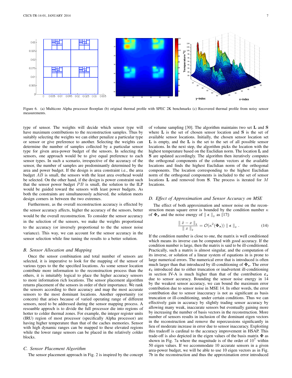

<span id="page-7-0"></span>Figure 6. (a) Multicore Alpha processor floorplan (b) original thermal profile with SPEC 2K benchmarks (c) Recovered thermal profile from noisy sensor measurements.

type of sensor. The weights will decide which sensor type will have maximum contributions to the reconstruction samples. Thus by suitably selecting the weights we can either penalize a particular type or sensor or give preference to another. Selecting the weights can determine the number of samples collected by a particular sensor type for given area-power budget of the sensors. In selecting the sensors, one approach would be to give equal preference to each sensor types. In such a scenario, irrespective of the accuracy of the sensor, the number of samples are predominantly determined by the area and power budget. If the design is area constraint i.e., the area budget AB is small, the sensors with the least area overhead would be selected. On the other hand, if the design is power constraint such that the sensor power budget  $PB$  is small, the solution to the ILP would be guided toward the sensors with least power budgets. As both the constraints are simultaneously achieved, the solution meets design corners in between the two extremes.

Furthermore, as the overall reconstruction accuracy is effected by the sensor accuracy affects, higher the accuracy of the sensors, better would be the overall reconstruction. To consider the sensor accuracy in the selection of the sensors, we make the weights proportional to the accuracy (or inversely proportional to the the sensor noise variance). This way, we can account for the sensor accuracy in the sensor selection while fine tuning the results to a better solution.

#### *B. Sensor Allocation and Mapping*

Once the sensor combination and total number of sensors are selected, it is imperative to look for the mapping of the sensor of various types to the the specified locations. As some sensor location contribute more information to the reconstruction process than the others, it is intuitably logical to place the higher accuracy sensors to more information rich locations. The sensor placement algorithm returns placement of the sensors in order of their importance. We rank the sensors according to their accuracy and map the most accurate sensors to the most dominant locations. Another opportunity (or concern) that arises because of varied operating range of different sensors, need to be addressed during the sensor mapping process. A resoanble approch is to divide the full processor die into regions of hotter to colder thermal zones. For example, the integer register units (IRU) region of most processor (specifically Alpha processor) are having higher temperature than that of the caches memories. Sensor with high dynamic ranges can be mapped to these elevated regions while the lower range sensors can be placed in the relatively colder blocks.

## *C. Sensor Placement Algorithm*

The sensor placement approach in Fig. [2](#page-4-3) is inspired by the concept

of volume sampling [\[30\]](#page-6-30). The algorithm maintains two set L and S where  $\bf{L}$  is the set of chosen sensor location and  $\bf{S}$  is the set of available sensor locations. Initially, the chosen sensor location set L is empty, and the L is the set to the set of all possible sensor locations. In the next step, the algorithm picks the location with the highest temperature based on the Euclidian norm. The location L and S are updated accordingly. The algorithm then iteratively computes the orthogonal components of the column vectors at the available locations and finds the highest Euclidian norm of the orthogonal components. The location corresponding to the highest Euclidian norm of the orthogonal components is included to the set of sensor locations L and removed from S. The process is iterated for M locations.

#### *D. Effect of Approximation and Sensor Accuracy on MSE*

The effect of both approximation and sensor noise on the reconstruction mean square error is bounded by the condition number  $\kappa$ of  $\Phi_s$  and the noise energy of  $\|\boldsymbol{\epsilon}\|_2$  as [\[17\]](#page-6-16):

<span id="page-7-1"></span>
$$
\frac{\|\hat{x} - x\|_2}{\|x\|_2} = \mathcal{O}(\kappa^2(\Phi_s)) \| \boldsymbol{\epsilon} \|_2.
$$
 (14)

If the condition number is close to one, the matrix is well conditioned which means its inverse can be computed with good accuracy. If the condition number is large, then the matrix is said to be ill-conditioned. Practically, such a matrix is almost singular, and the computation of its inverse, or solution of a linear system of equations in is prone to large numerical errors. The numerical error that is introduced is often much larger than that introduced by ill-conditioning of  $\Phi_s$ . The error  $\varepsilon_t$  introduced due to either truncation or inadvertent ill-conditioning in section [IV-A](#page-3-5) is much higher than that of the contribution  $\varepsilon_s$ due to sensor accuracy. Bounding the sensor noise energy in [14](#page-7-1) by the weakest sensor accuracy, we can bound the maximum error contribution due to sensor noise in MSE [14.](#page-7-1) In other words, the error contribution due to sensor inaccuracy is not as significant as basis truncation or ill-conditioning, under certain conditions. Thus we can effectively gain in accuracy by slightly trading sensor accuracy by allowing many weak, inaccurate sensors but eventually gaining more by increasing the number of basis vectors in the reconstruction. More number of sensors results in inclusion of the dominant eigen vectors in the reconstruction and remove the repercussions significantly in lieu of moderate increase in error due to sensor inaccuracy. Exploiting this tradeoff is cardinal to the accuracy improvement in HSAP. This trade-off is also depicted in the eigen values of the basis matrix  $\Phi$  as shown in Fig. [7a](#page-8-0) where the magnitude is of the order of  $10<sup>7</sup>$  within 50 eigen values. If we accommodate 10 accurate sensors in a given area-power budget, we will be able to use 10 eigen vectors as in Fig. [7b](#page-8-1) in the reconstruction and thus the approximation error introduced